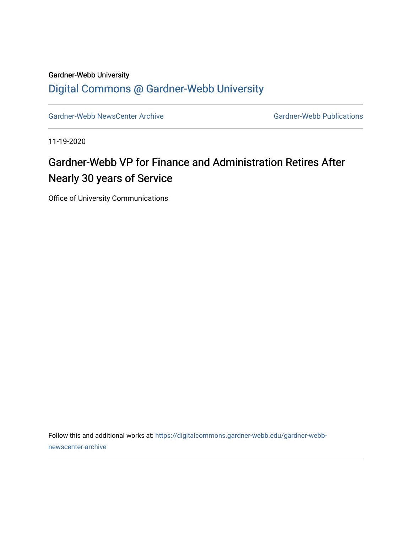#### Gardner-Webb University [Digital Commons @ Gardner-Webb University](https://digitalcommons.gardner-webb.edu/)

[Gardner-Webb NewsCenter Archive](https://digitalcommons.gardner-webb.edu/gardner-webb-newscenter-archive) Gardner-Webb Publications

11-19-2020

### Gardner-Webb VP for Finance and Administration Retires After Nearly 30 years of Service

Office of University Communications

Follow this and additional works at: [https://digitalcommons.gardner-webb.edu/gardner-webb](https://digitalcommons.gardner-webb.edu/gardner-webb-newscenter-archive?utm_source=digitalcommons.gardner-webb.edu%2Fgardner-webb-newscenter-archive%2F2147&utm_medium=PDF&utm_campaign=PDFCoverPages)[newscenter-archive](https://digitalcommons.gardner-webb.edu/gardner-webb-newscenter-archive?utm_source=digitalcommons.gardner-webb.edu%2Fgardner-webb-newscenter-archive%2F2147&utm_medium=PDF&utm_campaign=PDFCoverPages)